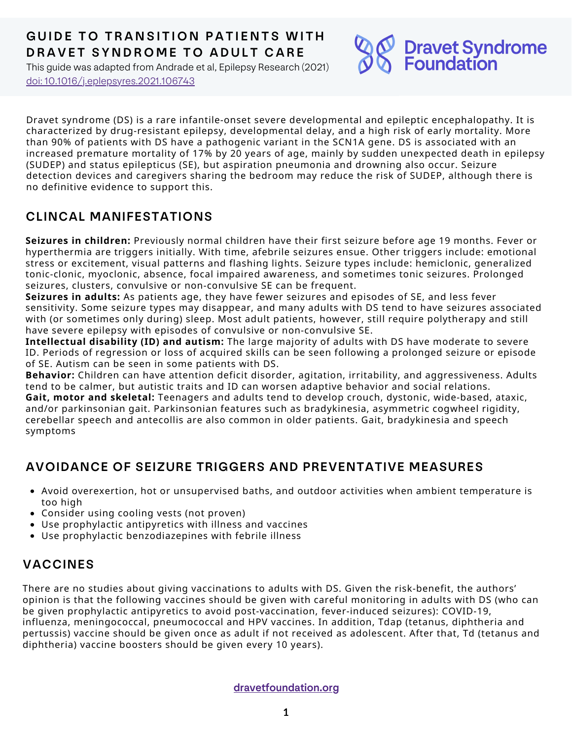# GUIDE TO TRANSITION PATIENTS WITH DRAVET SYNDROME TO ADULT CARE

This guide was adapted from Andrade et al, Epilepsy Research (2021) doi: [10.1016/j.eplepsyres.2021.106743](https://www.sciencedirect.com/science/article/pii/S0920121121001960)



Dravet syndrome (DS) is a rare infantile-onset severe developmental and epileptic encephalopathy. It is characterized by drug-resistant epilepsy, developmental delay, and a high risk of early mortality. More than 90% of patients with DS have a pathogenic variant in the SCN1A gene. DS is associated with an increased premature mortality of 17% by 20 years of age, mainly by sudden unexpected death in epilepsy (SUDEP) and status epilepticus (SE), but aspiration pneumonia and drowning also occur. Seizure detection devices and caregivers sharing the bedroom may reduce the risk of SUDEP, although there is no definitive evidence to support this.

# CLINCAL MANIFESTATIONS

**Seizures in children:** Previously normal children have their first seizure before age 19 months. Fever or hyperthermia are triggers initially. With time, afebrile seizures ensue. Other triggers include: emotional stress or excitement, visual patterns and flashing lights. Seizure types include: hemiclonic, generalized tonic-clonic, myoclonic, absence, focal impaired awareness, and sometimes tonic seizures. Prolonged seizures, clusters, convulsive or non-convulsive SE can be frequent.

**Seizures in adults:** As patients age, they have fewer seizures and episodes of SE, and less fever sensitivity. Some seizure types may disappear, and many adults with DS tend to have seizures associated with (or sometimes only during) sleep. Most adult patients, however, still require polytherapy and still have severe epilepsy with episodes of convulsive or non-convulsive SE.

**Intellectual disability (ID) and autism:** The large majority of adults with DS have moderate to severe ID. Periods of regression or loss of acquired skills can be seen following a prolonged seizure or episode of SE. Autism can be seen in some patients with DS.

**Behavior:** Children can have attention deficit disorder, agitation, irritability, and aggressiveness. Adults tend to be calmer, but autistic traits and ID can worsen adaptive behavior and social relations. **Gait, motor and skeletal:** Teenagers and adults tend to develop crouch, dystonic, wide-based, ataxic, and/or parkinsonian gait. Parkinsonian features such as bradykinesia, asymmetric cogwheel rigidity, cerebellar speech and antecollis are also common in older patients. Gait, bradykinesia and speech symptoms

# AVOIDANCE OF SEIZURE TRIGGERS AND PREVENTATIVE MEASURES

- Avoid overexertion, hot or unsupervised baths, and outdoor activities when ambient temperature is too high
- Consider using cooling vests (not proven)
- Use prophylactic antipyretics with illness and vaccines
- Use prophylactic benzodiazepines with febrile illness

# VACCINES

There are no studies about giving vaccinations to adults with DS. Given the risk-benefit, the authors' opinion is that the following vaccines should be given with careful monitoring in adults with DS (who can be given prophylactic antipyretics to avoid post-vaccination, fever-induced seizures): COVID-19, influenza, meningococcal, pneumococcal and HPV vaccines. In addition, Tdap (tetanus, diphtheria and pertussis) vaccine should be given once as adult if not received as adolescent. After that, Td (tetanus and diphtheria) vaccine boosters should be given every 10 years).

[dravetfoundation.org](https://www.dravetfoundation.org/)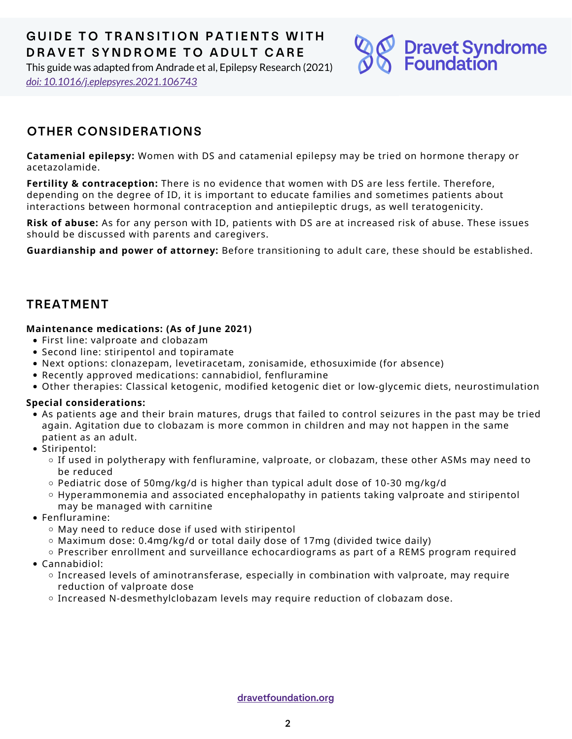# GUIDE TO TRANSITION PATIENTS WITH DRAVET SYNDROME TO ADULT CARE

This guide was adapted from Andrade et al, Epilepsy Research (2021) *doi: [10.1016/j.eplepsyres.2021.106743](https://www.sciencedirect.com/science/article/pii/S0920121121001960)*



## OTHER CONSIDERATIONS

**Catamenial epilepsy:** Women with DS and catamenial epilepsy may be tried on hormone therapy or acetazolamide.

**Fertility & contraception:** There is no evidence that women with DS are less fertile. Therefore, depending on the degree of ID, it is important to educate families and sometimes patients about interactions between hormonal contraception and antiepileptic drugs, as well teratogenicity.

**Risk of abuse:** As for any person with ID, patients with DS are at increased risk of abuse. These issues should be discussed with parents and caregivers.

**Guardianship and power of attorney:** Before transitioning to adult care, these should be established.

## TREATMENT

### **Maintenance medications: (As of June 2021)**

- First line: valproate and clobazam
- Second line: stiripentol and topiramate
- Next options: clonazepam, levetiracetam, zonisamide, ethosuximide (for absence)
- Recently approved medications: cannabidiol, fenfluramine
- Other therapies: Classical ketogenic, modified ketogenic diet or low-glycemic diets, neurostimulation

#### **Special considerations:**

- As patients age and their brain matures, drugs that failed to control seizures in the past may be tried again. Agitation due to clobazam is more common in children and may not happen in the same patient as an adult.
- Stiripentol:
	- $\circ$  If used in polytherapy with fenfluramine, valproate, or clobazam, these other ASMs may need to be reduced
	- $\circ$  Pediatric dose of 50mg/kg/d is higher than typical adult dose of 10-30 mg/kg/d
	- $\circ$  Hyperammonemia and associated encephalopathy in patients taking valproate and stiripentol may be managed with carnitine
- Fenfluramine:
	- May need to reduce dose if used with stiripentol
	- $\circ$  Maximum dose: 0.4mg/kg/d or total daily dose of 17mg (divided twice daily)
	- o Prescriber enrollment and surveillance echocardiograms as part of a REMS program required
- Cannabidiol:
	- $\circ$  Increased levels of aminotransferase, especially in combination with valproate, may require reduction of valproate dose
	- o Increased N-desmethylclobazam levels may require reduction of clobazam dose.

[dravetfoundation.org](https://www.dravetfoundation.org/)